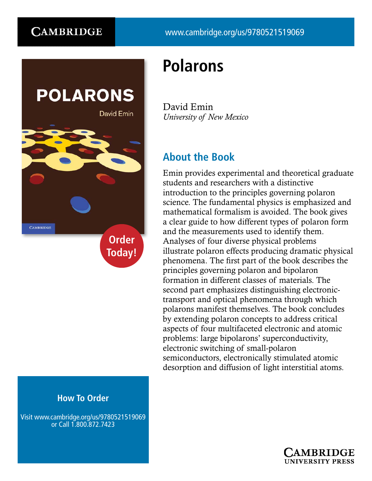## **CAMBRIDGE**



# **Polarons**

David Emin *University of New Mexico*

# **About the Book**

Emin provides experimental and theoretical graduate students and researchers with a distinctive introduction to the principles governing polaron science. The fundamental physics is emphasized and mathematical formalism is avoided. The book gives a clear guide to how different types of polaron form and the measurements used to identify them. Analyses of four diverse physical problems illustrate polaron effects producing dramatic physical phenomena. The first part of the book describes the principles governing polaron and bipolaron formation in different classes of materials. The second part emphasizes distinguishing electronictransport and optical phenomena through which polarons manifest themselves. The book concludes by extending polaron concepts to address critical aspects of four multifaceted electronic and atomic problems: large bipolarons' superconductivity, electronic switching of small-polaron semiconductors, electronically stimulated atomic desorption and diffusion of light interstitial atoms.

### **How To Order**

Visit www.cambridge.org/us/9780521519069 or Call 1.800.872.7423